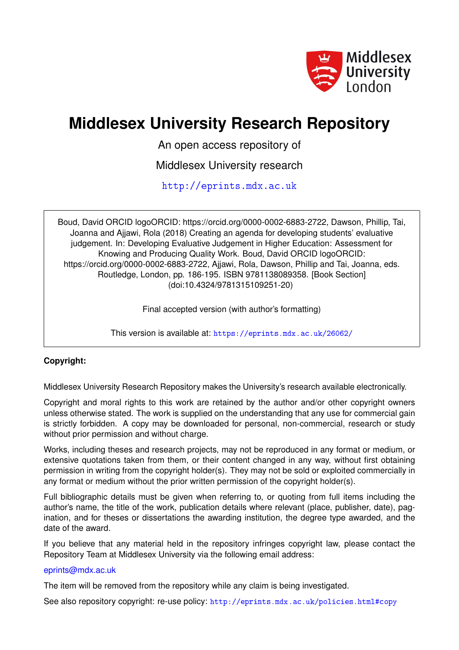

# **Middlesex University Research Repository**

An open access repository of

Middlesex University research

<http://eprints.mdx.ac.uk>

Boud, David ORCID logoORCID: https://orcid.org/0000-0002-6883-2722, Dawson, Phillip, Tai, Joanna and Ajjawi, Rola (2018) Creating an agenda for developing students' evaluative judgement. In: Developing Evaluative Judgement in Higher Education: Assessment for Knowing and Producing Quality Work. Boud, David ORCID logoORCID: https://orcid.org/0000-0002-6883-2722, Ajjawi, Rola, Dawson, Phillip and Tai, Joanna, eds. Routledge, London, pp. 186-195. ISBN 9781138089358. [Book Section] (doi:10.4324/9781315109251-20)

Final accepted version (with author's formatting)

This version is available at: <https://eprints.mdx.ac.uk/26062/>

# **Copyright:**

Middlesex University Research Repository makes the University's research available electronically.

Copyright and moral rights to this work are retained by the author and/or other copyright owners unless otherwise stated. The work is supplied on the understanding that any use for commercial gain is strictly forbidden. A copy may be downloaded for personal, non-commercial, research or study without prior permission and without charge.

Works, including theses and research projects, may not be reproduced in any format or medium, or extensive quotations taken from them, or their content changed in any way, without first obtaining permission in writing from the copyright holder(s). They may not be sold or exploited commercially in any format or medium without the prior written permission of the copyright holder(s).

Full bibliographic details must be given when referring to, or quoting from full items including the author's name, the title of the work, publication details where relevant (place, publisher, date), pagination, and for theses or dissertations the awarding institution, the degree type awarded, and the date of the award.

If you believe that any material held in the repository infringes copyright law, please contact the Repository Team at Middlesex University via the following email address:

### [eprints@mdx.ac.uk](mailto:eprints@mdx.ac.uk)

The item will be removed from the repository while any claim is being investigated.

See also repository copyright: re-use policy: <http://eprints.mdx.ac.uk/policies.html#copy>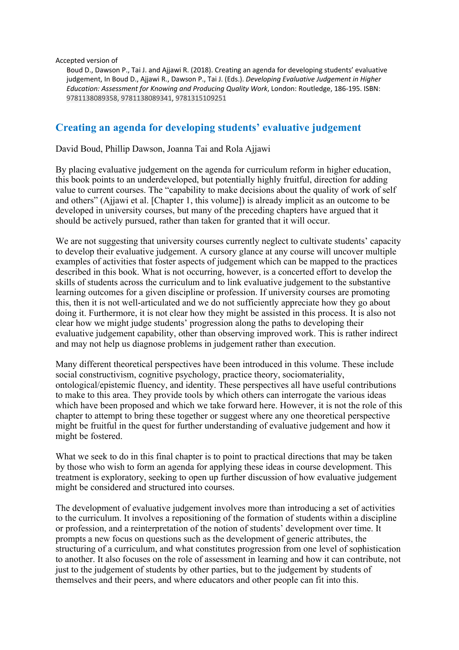Accepted version of

Boud D., Dawson P., Tai J. and Ajjawi R. (2018). Creating an agenda for developing students' evaluative judgement, In Boud D., Ajjawi R., Dawson P., Tai J. (Eds.). *Developing Evaluative Judgement in Higher Education: Assessment for Knowing and Producing Quality Work*, London: Routledge, 186-195. ISBN: 9781138089358, 9781138089341, 9781315109251

# **Creating an agenda for developing students' evaluative judgement**

David Boud, Phillip Dawson, Joanna Tai and Rola Ajjawi

By placing evaluative judgement on the agenda for curriculum reform in higher education, this book points to an underdeveloped, but potentially highly fruitful, direction for adding value to current courses. The "capability to make decisions about the quality of work of self and others" (Ajjawi et al. [Chapter 1, this volume]) is already implicit as an outcome to be developed in university courses, but many of the preceding chapters have argued that it should be actively pursued, rather than taken for granted that it will occur.

We are not suggesting that university courses currently neglect to cultivate students' capacity to develop their evaluative judgement. A cursory glance at any course will uncover multiple examples of activities that foster aspects of judgement which can be mapped to the practices described in this book. What is not occurring, however, is a concerted effort to develop the skills of students across the curriculum and to link evaluative judgement to the substantive learning outcomes for a given discipline or profession. If university courses are promoting this, then it is not well-articulated and we do not sufficiently appreciate how they go about doing it. Furthermore, it is not clear how they might be assisted in this process. It is also not clear how we might judge students' progression along the paths to developing their evaluative judgement capability, other than observing improved work. This is rather indirect and may not help us diagnose problems in judgement rather than execution.

Many different theoretical perspectives have been introduced in this volume. These include social constructivism, cognitive psychology, practice theory, sociomateriality, ontological/epistemic fluency, and identity. These perspectives all have useful contributions to make to this area. They provide tools by which others can interrogate the various ideas which have been proposed and which we take forward here. However, it is not the role of this chapter to attempt to bring these together or suggest where any one theoretical perspective might be fruitful in the quest for further understanding of evaluative judgement and how it might be fostered.

What we seek to do in this final chapter is to point to practical directions that may be taken by those who wish to form an agenda for applying these ideas in course development. This treatment is exploratory, seeking to open up further discussion of how evaluative judgement might be considered and structured into courses.

The development of evaluative judgement involves more than introducing a set of activities to the curriculum. It involves a repositioning of the formation of students within a discipline or profession, and a reinterpretation of the notion of students' development over time. It prompts a new focus on questions such as the development of generic attributes, the structuring of a curriculum, and what constitutes progression from one level of sophistication to another. It also focuses on the role of assessment in learning and how it can contribute, not just to the judgement of students by other parties, but to the judgement by students of themselves and their peers, and where educators and other people can fit into this.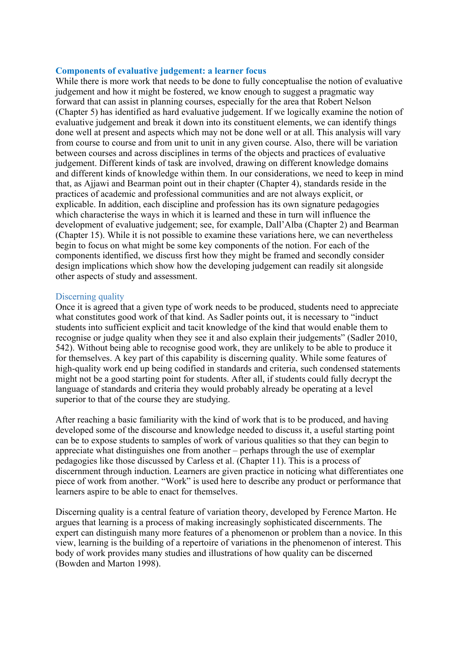#### **Components of evaluative judgement: a learner focus**

While there is more work that needs to be done to fully conceptualise the notion of evaluative judgement and how it might be fostered, we know enough to suggest a pragmatic way forward that can assist in planning courses, especially for the area that Robert Nelson (Chapter 5) has identified as hard evaluative judgement. If we logically examine the notion of evaluative judgement and break it down into its constituent elements, we can identify things done well at present and aspects which may not be done well or at all. This analysis will vary from course to course and from unit to unit in any given course. Also, there will be variation between courses and across disciplines in terms of the objects and practices of evaluative judgement. Different kinds of task are involved, drawing on different knowledge domains and different kinds of knowledge within them. In our considerations, we need to keep in mind that, as Ajjawi and Bearman point out in their chapter (Chapter 4), standards reside in the practices of academic and professional communities and are not always explicit, or explicable. In addition, each discipline and profession has its own signature pedagogies which characterise the ways in which it is learned and these in turn will influence the development of evaluative judgement; see, for example, Dall'Alba (Chapter 2) and Bearman (Chapter 15). While it is not possible to examine these variations here, we can nevertheless begin to focus on what might be some key components of the notion. For each of the components identified, we discuss first how they might be framed and secondly consider design implications which show how the developing judgement can readily sit alongside other aspects of study and assessment.

#### Discerning quality

Once it is agreed that a given type of work needs to be produced, students need to appreciate what constitutes good work of that kind. As Sadler points out, it is necessary to "induct" students into sufficient explicit and tacit knowledge of the kind that would enable them to recognise or judge quality when they see it and also explain their judgements" (Sadler 2010, 542). Without being able to recognise good work, they are unlikely to be able to produce it for themselves. A key part of this capability is discerning quality. While some features of high-quality work end up being codified in standards and criteria, such condensed statements might not be a good starting point for students. After all, if students could fully decrypt the language of standards and criteria they would probably already be operating at a level superior to that of the course they are studying.

After reaching a basic familiarity with the kind of work that is to be produced, and having developed some of the discourse and knowledge needed to discuss it, a useful starting point can be to expose students to samples of work of various qualities so that they can begin to appreciate what distinguishes one from another – perhaps through the use of exemplar pedagogies like those discussed by Carless et al. (Chapter 11). This is a process of discernment through induction. Learners are given practice in noticing what differentiates one piece of work from another. "Work" is used here to describe any product or performance that learners aspire to be able to enact for themselves.

Discerning quality is a central feature of variation theory, developed by Ference Marton. He argues that learning is a process of making increasingly sophisticated discernments. The expert can distinguish many more features of a phenomenon or problem than a novice. In this view, learning is the building of a repertoire of variations in the phenomenon of interest. This body of work provides many studies and illustrations of how quality can be discerned (Bowden and Marton 1998).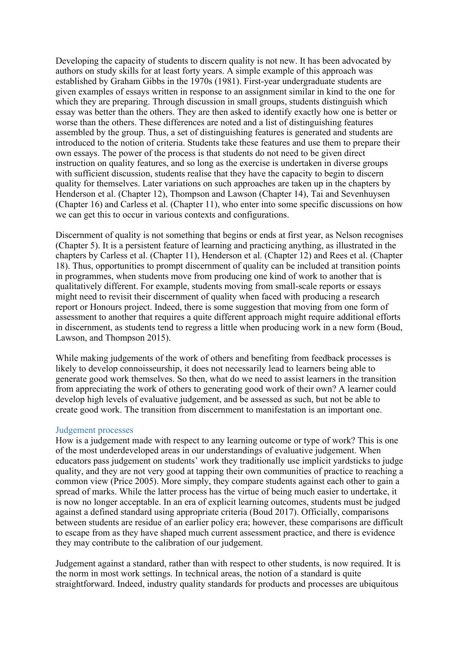Developing the capacity of students to discern quality is not new. It has been advocated by authors on study skills for at least forty years. A simple example of this approach was established by Graham Gibbs in the 1970s (1981). First-year undergraduate students are given examples of essays written in response to an assignment similar in kind to the one for which they are preparing. Through discussion in small groups, students distinguish which essay was better than the others. They are then asked to identify exactly how one is better or worse than the others. These differences are noted and a list of distinguishing features assembled by the group. Thus, a set of distinguishing features is generated and students are introduced to the notion of criteria. Students take these features and use them to prepare their own essays. The power of the process is that students do not need to be given direct instruction on quality features, and so long as the exercise is undertaken in diverse groups with sufficient discussion, students realise that they have the capacity to begin to discern quality for themselves. Later variations on such approaches are taken up in the chapters by Henderson et al. (Chapter 12), Thompson and Lawson (Chapter 14), Tai and Sevenhuysen (Chapter 16) and Carless et al. (Chapter 11), who enter into some specific discussions on how we can get this to occur in various contexts and configurations.

Discernment of quality is not something that begins or ends at first year, as Nelson recognises (Chapter 5). It is a persistent feature of learning and practicing anything, as illustrated in the chapters by Carless et al. (Chapter 11), Henderson et al. (Chapter 12) and Rees et al. (Chapter 18). Thus, opportunities to prompt discernment of quality can be included at transition points in programmes, when students move from producing one kind of work to another that is qualitatively different. For example, students moving from small-scale reports or essays might need to revisit their discernment of quality when faced with producing a research report or Honours project. Indeed, there is some suggestion that moving from one form of assessment to another that requires a quite different approach might require additional efforts in discernment, as students tend to regress a little when producing work in a new form (Boud, Lawson, and Thompson 2015).

While making judgements of the work of others and benefiting from feedback processes is likely to develop connoisseurship, it does not necessarily lead to learners being able to generate good work themselves. So then, what do we need to assist learners in the transition from appreciating the work of others to generating good work of their own? A learner could develop high levels of evaluative judgement, and be assessed as such, but not be able to create good work. The transition from discernment to manifestation is an important one.

#### Judgement processes

How is a judgement made with respect to any learning outcome or type of work? This is one of the most underdeveloped areas in our understandings of evaluative judgement. When educators pass judgement on students' work they traditionally use implicit yardsticks to judge quality, and they are not very good at tapping their own communities of practice to reaching a common view (Price 2005). More simply, they compare students against each other to gain a spread of marks. While the latter process has the virtue of being much easier to undertake, it is now no longer acceptable. In an era of explicit learning outcomes, students must be judged against a defined standard using appropriate criteria (Boud 2017). Officially, comparisons between students are residue of an earlier policy era; however, these comparisons are difficult to escape from as they have shaped much current assessment practice, and there is evidence they may contribute to the calibration of our judgement.

Judgement against a standard, rather than with respect to other students, is now required. It is the norm in most work settings. In technical areas, the notion of a standard is quite straightforward. Indeed, industry quality standards for products and processes are ubiquitous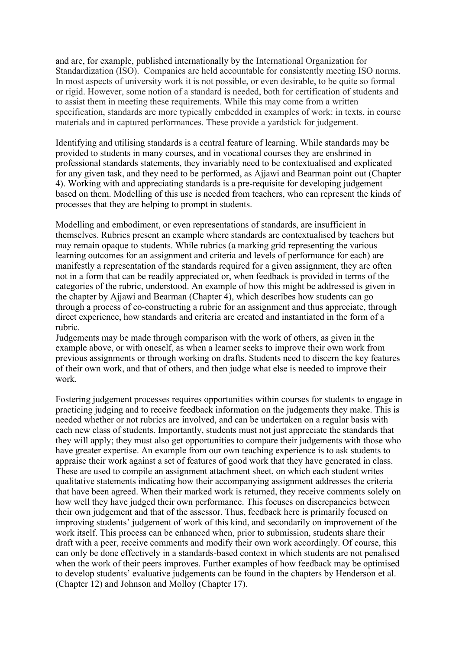and are, for example, published internationally by the International Organization for Standardization (ISO). Companies are held accountable for consistently meeting ISO norms. In most aspects of university work it is not possible, or even desirable, to be quite so formal or rigid. However, some notion of a standard is needed, both for certification of students and to assist them in meeting these requirements. While this may come from a written specification, standards are more typically embedded in examples of work: in texts, in course materials and in captured performances. These provide a yardstick for judgement.

Identifying and utilising standards is a central feature of learning. While standards may be provided to students in many courses, and in vocational courses they are enshrined in professional standards statements, they invariably need to be contextualised and explicated for any given task, and they need to be performed, as Ajjawi and Bearman point out (Chapter 4). Working with and appreciating standards is a pre-requisite for developing judgement based on them. Modelling of this use is needed from teachers, who can represent the kinds of processes that they are helping to prompt in students.

Modelling and embodiment, or even representations of standards, are insufficient in themselves. Rubrics present an example where standards are contextualised by teachers but may remain opaque to students. While rubrics (a marking grid representing the various learning outcomes for an assignment and criteria and levels of performance for each) are manifestly a representation of the standards required for a given assignment, they are often not in a form that can be readily appreciated or, when feedback is provided in terms of the categories of the rubric, understood. An example of how this might be addressed is given in the chapter by Ajjawi and Bearman (Chapter 4), which describes how students can go through a process of co-constructing a rubric for an assignment and thus appreciate, through direct experience, how standards and criteria are created and instantiated in the form of a rubric.

Judgements may be made through comparison with the work of others, as given in the example above, or with oneself, as when a learner seeks to improve their own work from previous assignments or through working on drafts. Students need to discern the key features of their own work, and that of others, and then judge what else is needed to improve their work.

Fostering judgement processes requires opportunities within courses for students to engage in practicing judging and to receive feedback information on the judgements they make. This is needed whether or not rubrics are involved, and can be undertaken on a regular basis with each new class of students. Importantly, students must not just appreciate the standards that they will apply; they must also get opportunities to compare their judgements with those who have greater expertise. An example from our own teaching experience is to ask students to appraise their work against a set of features of good work that they have generated in class. These are used to compile an assignment attachment sheet, on which each student writes qualitative statements indicating how their accompanying assignment addresses the criteria that have been agreed. When their marked work is returned, they receive comments solely on how well they have judged their own performance. This focuses on discrepancies between their own judgement and that of the assessor. Thus, feedback here is primarily focused on improving students' judgement of work of this kind, and secondarily on improvement of the work itself. This process can be enhanced when, prior to submission, students share their draft with a peer, receive comments and modify their own work accordingly. Of course, this can only be done effectively in a standards-based context in which students are not penalised when the work of their peers improves. Further examples of how feedback may be optimised to develop students' evaluative judgements can be found in the chapters by Henderson et al. (Chapter 12) and Johnson and Molloy (Chapter 17).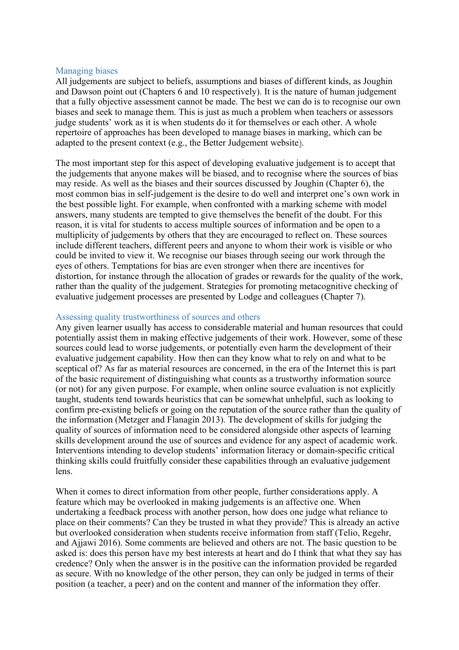#### Managing biases

All judgements are subject to beliefs, assumptions and biases of different kinds, as Joughin and Dawson point out (Chapters 6 and 10 respectively). It is the nature of human judgement that a fully objective assessment cannot be made. The best we can do is to recognise our own biases and seek to manage them. This is just as much a problem when teachers or assessors judge students' work as it is when students do it for themselves or each other. A whole repertoire of approaches has been developed to manage biases in marking, which can be adapted to the present context (e.g., the Better Judgement website).

The most important step for this aspect of developing evaluative judgement is to accept that the judgements that anyone makes will be biased, and to recognise where the sources of bias may reside. As well as the biases and their sources discussed by Joughin (Chapter 6), the most common bias in self-judgement is the desire to do well and interpret one's own work in the best possible light. For example, when confronted with a marking scheme with model answers, many students are tempted to give themselves the benefit of the doubt. For this reason, it is vital for students to access multiple sources of information and be open to a multiplicity of judgements by others that they are encouraged to reflect on. These sources include different teachers, different peers and anyone to whom their work is visible or who could be invited to view it. We recognise our biases through seeing our work through the eyes of others. Temptations for bias are even stronger when there are incentives for distortion, for instance through the allocation of grades or rewards for the quality of the work, rather than the quality of the judgement. Strategies for promoting metacognitive checking of evaluative judgement processes are presented by Lodge and colleagues (Chapter 7).

#### Assessing quality trustworthiness of sources and others

Any given learner usually has access to considerable material and human resources that could potentially assist them in making effective judgements of their work. However, some of these sources could lead to worse judgements, or potentially even harm the development of their evaluative judgement capability. How then can they know what to rely on and what to be sceptical of? As far as material resources are concerned, in the era of the Internet this is part of the basic requirement of distinguishing what counts as a trustworthy information source (or not) for any given purpose. For example, when online source evaluation is not explicitly taught, students tend towards heuristics that can be somewhat unhelpful, such as looking to confirm pre-existing beliefs or going on the reputation of the source rather than the quality of the information (Metzger and Flanagin 2013). The development of skills for judging the quality of sources of information need to be considered alongside other aspects of learning skills development around the use of sources and evidence for any aspect of academic work. Interventions intending to develop students' information literacy or domain-specific critical thinking skills could fruitfully consider these capabilities through an evaluative judgement lens.

When it comes to direct information from other people, further considerations apply. A feature which may be overlooked in making judgements is an affective one. When undertaking a feedback process with another person, how does one judge what reliance to place on their comments? Can they be trusted in what they provide? This is already an active but overlooked consideration when students receive information from staff (Telio, Regehr, and Ajjawi 2016). Some comments are believed and others are not. The basic question to be asked is: does this person have my best interests at heart and do I think that what they say has credence? Only when the answer is in the positive can the information provided be regarded as secure. With no knowledge of the other person, they can only be judged in terms of their position (a teacher, a peer) and on the content and manner of the information they offer.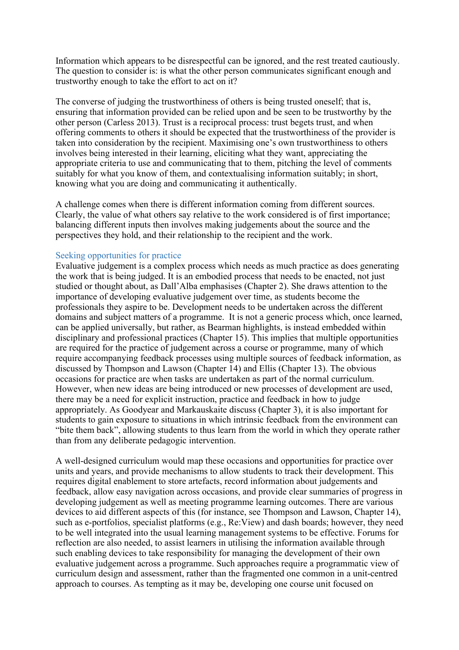Information which appears to be disrespectful can be ignored, and the rest treated cautiously. The question to consider is: is what the other person communicates significant enough and trustworthy enough to take the effort to act on it?

The converse of judging the trustworthiness of others is being trusted oneself; that is, ensuring that information provided can be relied upon and be seen to be trustworthy by the other person (Carless 2013). Trust is a reciprocal process: trust begets trust, and when offering comments to others it should be expected that the trustworthiness of the provider is taken into consideration by the recipient. Maximising one's own trustworthiness to others involves being interested in their learning, eliciting what they want, appreciating the appropriate criteria to use and communicating that to them, pitching the level of comments suitably for what you know of them, and contextualising information suitably; in short, knowing what you are doing and communicating it authentically.

A challenge comes when there is different information coming from different sources. Clearly, the value of what others say relative to the work considered is of first importance; balancing different inputs then involves making judgements about the source and the perspectives they hold, and their relationship to the recipient and the work.

# Seeking opportunities for practice

Evaluative judgement is a complex process which needs as much practice as does generating the work that is being judged. It is an embodied process that needs to be enacted, not just studied or thought about, as Dall'Alba emphasises (Chapter 2). She draws attention to the importance of developing evaluative judgement over time, as students become the professionals they aspire to be. Development needs to be undertaken across the different domains and subject matters of a programme. It is not a generic process which, once learned, can be applied universally, but rather, as Bearman highlights, is instead embedded within disciplinary and professional practices (Chapter 15). This implies that multiple opportunities are required for the practice of judgement across a course or programme, many of which require accompanying feedback processes using multiple sources of feedback information, as discussed by Thompson and Lawson (Chapter 14) and Ellis (Chapter 13). The obvious occasions for practice are when tasks are undertaken as part of the normal curriculum. However, when new ideas are being introduced or new processes of development are used, there may be a need for explicit instruction, practice and feedback in how to judge appropriately. As Goodyear and Markauskaite discuss (Chapter 3), it is also important for students to gain exposure to situations in which intrinsic feedback from the environment can "bite them back", allowing students to thus learn from the world in which they operate rather than from any deliberate pedagogic intervention.

A well-designed curriculum would map these occasions and opportunities for practice over units and years, and provide mechanisms to allow students to track their development. This requires digital enablement to store artefacts, record information about judgements and feedback, allow easy navigation across occasions, and provide clear summaries of progress in developing judgement as well as meeting programme learning outcomes. There are various devices to aid different aspects of this (for instance, see Thompson and Lawson, Chapter 14), such as e-portfolios, specialist platforms (e.g., Re:View) and dash boards; however, they need to be well integrated into the usual learning management systems to be effective. Forums for reflection are also needed, to assist learners in utilising the information available through such enabling devices to take responsibility for managing the development of their own evaluative judgement across a programme. Such approaches require a programmatic view of curriculum design and assessment, rather than the fragmented one common in a unit-centred approach to courses. As tempting as it may be, developing one course unit focused on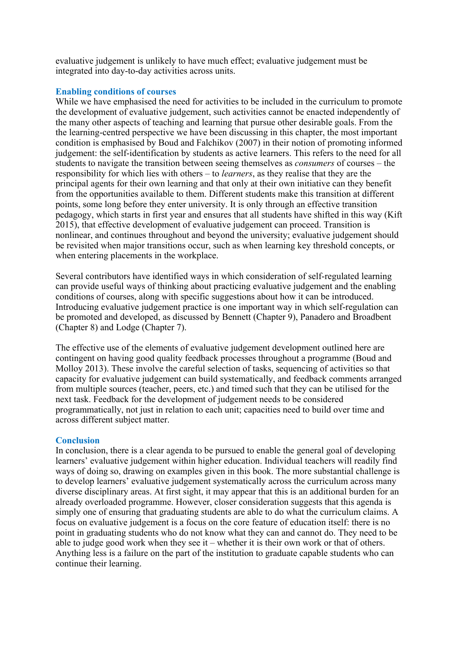evaluative judgement is unlikely to have much effect; evaluative judgement must be integrated into day-to-day activities across units.

# **Enabling conditions of courses**

While we have emphasised the need for activities to be included in the curriculum to promote the development of evaluative judgement, such activities cannot be enacted independently of the many other aspects of teaching and learning that pursue other desirable goals. From the the learning-centred perspective we have been discussing in this chapter, the most important condition is emphasised by Boud and Falchikov (2007) in their notion of promoting informed judgement: the self-identification by students as active learners. This refers to the need for all students to navigate the transition between seeing themselves as *consumers* of courses – the responsibility for which lies with others – to *learners*, as they realise that they are the principal agents for their own learning and that only at their own initiative can they benefit from the opportunities available to them. Different students make this transition at different points, some long before they enter university. It is only through an effective transition pedagogy, which starts in first year and ensures that all students have shifted in this way (Kift 2015), that effective development of evaluative judgement can proceed. Transition is nonlinear, and continues throughout and beyond the university; evaluative judgement should be revisited when major transitions occur, such as when learning key threshold concepts, or when entering placements in the workplace.

Several contributors have identified ways in which consideration of self-regulated learning can provide useful ways of thinking about practicing evaluative judgement and the enabling conditions of courses, along with specific suggestions about how it can be introduced. Introducing evaluative judgement practice is one important way in which self-regulation can be promoted and developed, as discussed by Bennett (Chapter 9), Panadero and Broadbent (Chapter 8) and Lodge (Chapter 7).

The effective use of the elements of evaluative judgement development outlined here are contingent on having good quality feedback processes throughout a programme (Boud and Molloy 2013). These involve the careful selection of tasks, sequencing of activities so that capacity for evaluative judgement can build systematically, and feedback comments arranged from multiple sources (teacher, peers, etc.) and timed such that they can be utilised for the next task. Feedback for the development of judgement needs to be considered programmatically, not just in relation to each unit; capacities need to build over time and across different subject matter.

# **Conclusion**

In conclusion, there is a clear agenda to be pursued to enable the general goal of developing learners' evaluative judgement within higher education. Individual teachers will readily find ways of doing so, drawing on examples given in this book. The more substantial challenge is to develop learners' evaluative judgement systematically across the curriculum across many diverse disciplinary areas. At first sight, it may appear that this is an additional burden for an already overloaded programme. However, closer consideration suggests that this agenda is simply one of ensuring that graduating students are able to do what the curriculum claims. A focus on evaluative judgement is a focus on the core feature of education itself: there is no point in graduating students who do not know what they can and cannot do. They need to be able to judge good work when they see it – whether it is their own work or that of others. Anything less is a failure on the part of the institution to graduate capable students who can continue their learning.